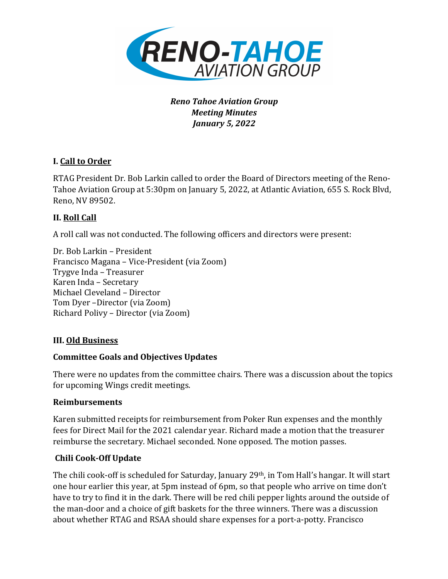

## *Reno Tahoe Aviation Group Meeting Minutes January 5, 2022*

## **I.** Call to Order

RTAG President Dr. Bob Larkin called to order the Board of Directors meeting of the Reno-Tahoe Aviation Group at 5:30pm on January 5, 2022, at Atlantic Aviation, 655 S. Rock Blvd, Reno, NV 89502.

## **II. Roll Call**

A roll call was not conducted. The following officers and directors were present:

Dr. Bob Larkin – President Francisco Magana – Vice-President (via Zoom) Trygve Inda – Treasurer Karen Inda - Secretary Michael Cleveland - Director Tom Dyer -Director (via Zoom) Richard Polivy - Director (via Zoom)

## **III. Old Business**

#### **Committee Goals and Objectives Updates**

There were no updates from the committee chairs. There was a discussion about the topics for upcoming Wings credit meetings.

#### **Reimbursements**

Karen submitted receipts for reimbursement from Poker Run expenses and the monthly fees for Direct Mail for the 2021 calendar year. Richard made a motion that the treasurer reimburse the secretary. Michael seconded. None opposed. The motion passes.

## **Chili Cook-Off Update**

The chili cook-off is scheduled for Saturday, January 29th, in Tom Hall's hangar. It will start one hour earlier this year, at 5pm instead of 6pm, so that people who arrive on time don't have to try to find it in the dark. There will be red chili pepper lights around the outside of the man-door and a choice of gift baskets for the three winners. There was a discussion about whether RTAG and RSAA should share expenses for a port-a-potty. Francisco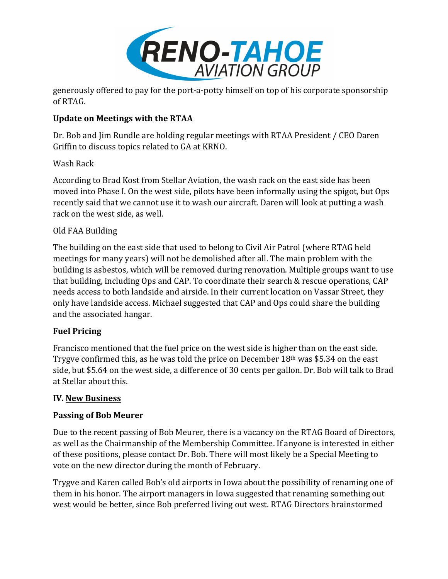

generously offered to pay for the port-a-potty himself on top of his corporate sponsorship of RTAG.

## **Update on Meetings with the RTAA**

Dr. Bob and Jim Rundle are holding regular meetings with RTAA President / CEO Daren Griffin to discuss topics related to GA at KRNO.

# Wash Rack

According to Brad Kost from Stellar Aviation, the wash rack on the east side has been moved into Phase I. On the west side, pilots have been informally using the spigot, but Ops recently said that we cannot use it to wash our aircraft. Daren will look at putting a wash rack on the west side, as well.

# Old FAA Building

The building on the east side that used to belong to Civil Air Patrol (where RTAG held meetings for many years) will not be demolished after all. The main problem with the building is asbestos, which will be removed during renovation. Multiple groups want to use that building, including Ops and CAP. To coordinate their search & rescue operations, CAP needs access to both landside and airside. In their current location on Vassar Street, they only have landside access. Michael suggested that CAP and Ops could share the building and the associated hangar.

## **Fuel Pricing**

Francisco mentioned that the fuel price on the west side is higher than on the east side. Trygve confirmed this, as he was told the price on December  $18<sup>th</sup>$  was \$5.34 on the east side, but \$5.64 on the west side, a difference of 30 cents per gallon. Dr. Bob will talk to Brad at Stellar about this.

## **IV. New Business**

## **Passing of Bob Meurer**

Due to the recent passing of Bob Meurer, there is a vacancy on the RTAG Board of Directors, as well as the Chairmanship of the Membership Committee. If anyone is interested in either of these positions, please contact Dr. Bob. There will most likely be a Special Meeting to vote on the new director during the month of February.

Trygve and Karen called Bob's old airports in Iowa about the possibility of renaming one of them in his honor. The airport managers in Iowa suggested that renaming something out west would be better, since Bob preferred living out west. RTAG Directors brainstormed